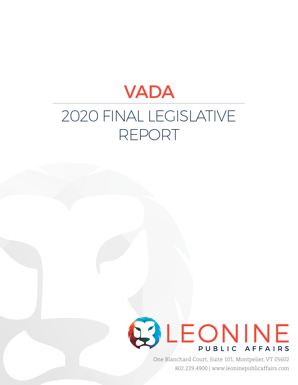# VADA 2020 FINAL LEGISLATIVE REPORT



One Blanchard Court, Suite 101, Montpelier, VT 05602 802.229.4900 | www.leoninepublicaffairs.com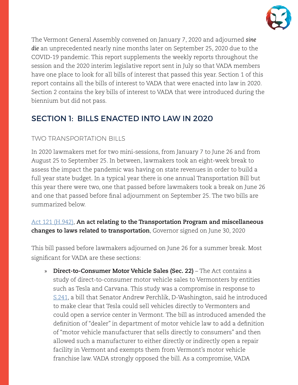

The Vermont General Assembly convened on January 7, 2020 and adjourned *sine die* an unprecedented nearly nine months later on September 25, 2020 due to the COVID-19 pandemic. This report supplements the weekly reports throughout the session and the 2020 interim legislative report sent in July so that VADA members have one place to look for all bills of interest that passed this year. Section 1 of this report contains all the bills of interest to VADA that were enacted into law in 2020. Section 2 contains the key bills of interest to VADA that were introduced during the biennium but did not pass.

# SECTION 1: BILLS ENACTED INTO LAW IN 2020

## TWO TRANSPORTATION BILLS

In 2020 lawmakers met for two mini-sessions, from January 7 to June 26 and from August 25 to September 25. In between, lawmakers took an eight-week break to assess the impact the pandemic was having on state revenues in order to build a full year state budget. In a typical year there is one annual Transportation Bill but this year there were two, one that passed before lawmakers took a break on June 26 and one that passed before final adjournment on September 25. The two bills are summarized below.

[Act 121 \(H.942\)](https://legislature.vermont.gov/Documents/2020/Docs/ACTS/ACT121/ACT121%20As%20Enacted.pdf), **An act relating to the Transportation Program and miscellaneous changes to laws related to transportation**, Governor signed on June 30, 2020

This bill passed before lawmakers adjourned on June 26 for a summer break. Most significant for VADA are these sections:

» **Direct-to-Consumer Motor Vehicle Sales (Sec. 22)** – The Act contains a study of direct-to-consumer motor vehicle sales to Vermonters by entities such as Tesla and Carvana. This study was a compromise in response to [S.241](https://legislature.vermont.gov/Documents/2020/Docs/BILLS/S-0241/S-0241%20As%20Introduced.pdf), a bill that Senator Andrew Perchlik, D-Washington, said he introduced to make clear that Tesla could sell vehicles directly to Vermonters and could open a service center in Vermont. The bill as introduced amended the definition of "dealer" in department of motor vehicle law to add a definition of "motor vehicle manufacturer that sells directly to consumers" and then allowed such a manufacturer to either directly or indirectly open a repair facility in Vermont and exempts them from Vermont's motor vehicle franchise law. VADA strongly opposed the bill. As a compromise, VADA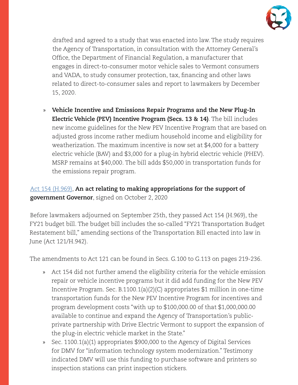

drafted and agreed to a study that was enacted into law. The study requires the Agency of Transportation, in consultation with the Attorney General's Office, the Department of Financial Regulation, a manufacturer that engages in direct-to-consumer motor vehicle sales to Vermont consumers and VADA, to study consumer protection, tax, financing and other laws related to direct-to-consumer sales and report to lawmakers by December 15, 2020.

» **Vehicle Incentive and Emissions Repair Programs and the New Plug-In Electric Vehicle (PEV) Incentive Program (Secs. 13 & 14)**. The bill includes new income guidelines for the New PEV Incentive Program that are based on adjusted gross income rather medium household income and eligibility for weatherization. The maximum incentive is now set at \$4,000 for a battery electric vehicle (BAV) and \$3,000 for a plug-in hybrid electric vehicle (PHEV). MSRP remains at \$40,000. The bill adds \$50,000 in transportation funds for the emissions repair program.

## [Act 154 \(H.969\)](https://legislature.vermont.gov/Documents/2020/Docs/ACTS/ACT154/ACT154%20As%20Enacted.pdf), **An act relating to making appropriations for the support of government Governor**, signed on October 2, 2020

Before lawmakers adjourned on September 25th, they passed Act 154 (H.969), the FY21 budget bill. The budget bill includes the so-called "FY21 Transportation Budget Restatement bill," amending sections of the Transportation Bill enacted into law in June (Act 121/H.942).

The amendments to Act 121 can be found in Secs. G.100 to G.113 on pages 219-236.

- » Act 154 did not further amend the eligibility criteria for the vehicle emission repair or vehicle incentive programs but it did add funding for the New PEV Incentive Program. Sec. B.1100.1(a)(2)(C) appropriates \$1 million in one-time transportation funds for the New PEV Incentive Program for incentives and program development costs "with up to \$100,000.00 of that \$1,000,000.00 available to continue and expand the Agency of Transportation's publicprivate partnership with Drive Electric Vermont to support the expansion of the plug-in electric vehicle market in the State."
- » Sec. 1100.1(a)(1) appropriates \$900,000 to the Agency of Digital Services for DMV for "information technology system modernization." Testimony indicated DMV will use this funding to purchase software and printers so inspection stations can print inspection stickers.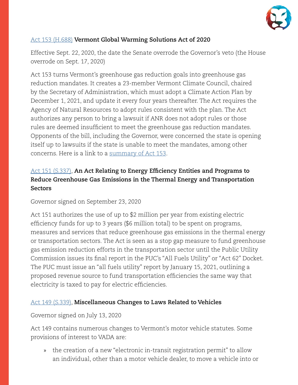

#### [Act 153 \(H.688\)](https://legislature.vermont.gov/Documents/2020/Docs/ACTS/ACT153/ACT153%20As%20Enacted.pdf) **Vermont Global Warming Solutions Act of 2020**

Effective Sept. 22, 2020, the date the Senate overrode the Governor's veto (the House overrode on Sept. 17, 2020)

Act 153 turns Vermont's greenhouse gas reduction goals into greenhouse gas reduction mandates. It creates a 23-member Vermont Climate Council, chaired by the Secretary of Administration, which must adopt a Climate Action Plan by December 1, 2021, and update it every four years thereafter. The Act requires the Agency of Natural Resources to adopt rules consistent with the plan. The Act authorizes any person to bring a lawsuit if ANR does not adopt rules or those rules are deemed insufficient to meet the greenhouse gas reduction mandates. Opponents of the bill, including the Governor, were concerned the state is opening itself up to lawsuits if the state is unable to meet the mandates, among other concerns. Here is a link to a [summary of Act 153](https://legislature.vermont.gov/Documents/2020/Docs/ACTS/ACT153/ACT153%20Act%20Summary.pdf).

### [Act 151 \(S.337\)](https://legislature.vermont.gov/Documents/2020/Docs/ACTS/ACT151/ACT151%20As%20Enacted.pdf), **An Act Relating to Energy Efficiency Entities and Programs to Reduce Greenhouse Gas Emissions in the Thermal Energy and Transportation Sectors**

Governor signed on September 23, 2020

Act 151 authorizes the use of up to \$2 million per year from existing electric efficiency funds for up to 3 years (\$6 million total) to be spent on programs, measures and services that reduce greenhouse gas emissions in the thermal energy or transportation sectors. The Act is seen as a stop gap measure to fund greenhouse gas emission reduction efforts in the transportation sector until the Public Utility Commission issues its final report in the PUC's "All Fuels Utility" or "Act 62" Docket. The PUC must issue an "all fuels utility" report by January 15, 2021, outlining a proposed revenue source to fund transportation efficiencies the same way that electricity is taxed to pay for electric efficiencies.

#### [Act 149 \(S.339\)](https://legislature.vermont.gov/Documents/2020/Docs/ACTS/ACT149/ACT149%20As%20Enacted.pdf), **Miscellaneous Changes to Laws Related to Vehicles**

Governor signed on July 13, 2020

Act 149 contains numerous changes to Vermont's motor vehicle statutes. Some provisions of interest to VADA are:

» the creation of a new "electronic in-transit registration permit" to allow an individual, other than a motor vehicle dealer, to move a vehicle into or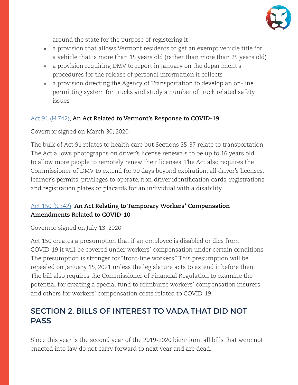

around the state for the purpose of registering it

- » a provision that allows Vermont residents to get an exempt vehicle title for a vehicle that is more than 15 years old (rather than more than 25 years old)
- » a provision requiring DMV to report in January on the department's procedures for the release of personal information it collects
- » a provision directing the Agency of Transportation to develop an on-line permitting system for trucks and study a number of truck related safety issues

#### [Act 91 \(H.742\),](https://legislature.vermont.gov/Documents/2020/Docs/ACTS/ACT091/ACT091%20As%20Enacted.pdf) **An Act Related to Vermont's Response to COVID-19**

Governor signed on March 30, 2020

The bulk of Act 91 relates to health care but Sections 35-37 relate to transportation. The Act allows photographs on driver's license renewals to be up to 16 years old to allow more people to remotely renew their licenses. The Act also requires the Commissioner of DMV to extend for 90 days beyond expiration, all driver's licenses, learner's permits, privileges to operate, non-driver identification cards, registrations, and registration plates or placards for an individual with a disability.

#### [Act 150 \(S.342\)](https://legislature.vermont.gov/Documents/2020/Docs/ACTS/ACT150/ACT150%20As%20Enacted.pdf), **An Act Relating to Temporary Workers' Compensation Amendments Related to COVID-10**

Governor signed on July 13, 2020

Act 150 creates a presumption that if an employee is disabled or dies from COVID-19 it will be covered under workers' compensation under certain conditions. The presumption is stronger for "front-line workers." This presumption will be repealed on January 15, 2021 unless the legislature acts to extend it before then. The bill also requires the Commissioner of Financial Regulation to examine the potential for creating a special fund to reimburse workers' compensation insurers and others for workers' compensation costs related to COVID-19.

# SECTION 2. BILLS OF INTEREST TO VADA THAT DID NOT **PASS**

Since this year is the second year of the 2019-2020 biennium, all bills that were not enacted into law do not carry forward to next year and are dead.